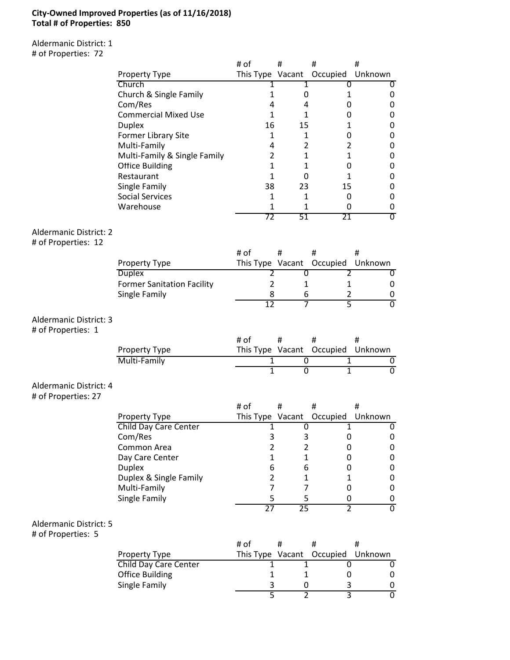### **City-Owned Improved Properties (as of 11/16/2018) Total # of Properties: 850**

Aldermanic District: 1 # of Properties: 72

|                               |                                         | # of                | #               | #                | #              |
|-------------------------------|-----------------------------------------|---------------------|-----------------|------------------|----------------|
|                               | <b>Property Type</b>                    | This Type Vacant    |                 | Occupied         | Unknown        |
|                               | Church                                  |                     | 1               | 0                |                |
|                               | Church & Single Family                  | 1                   | 0               | 1                | 0              |
|                               | Com/Res                                 | 4                   | 4               | 0                | 0              |
|                               | <b>Commercial Mixed Use</b>             | $\mathbf{1}$        | 1               | 0                | 0              |
|                               | <b>Duplex</b><br>Former Library Site    | 16<br>$\mathbf{1}$  | 15<br>1         | 1<br>0           | 0              |
|                               | Multi-Family                            | 4                   | 2               | $\overline{2}$   | 0<br>0         |
|                               | Multi-Family & Single Family            | $\overline{2}$      | 1               | 1                | $\mathbf 0$    |
|                               | <b>Office Building</b>                  | $\mathbf{1}$        | $\mathbf{1}$    | 0                | $\mathbf 0$    |
|                               | Restaurant                              | $\mathbf{1}$        | 0               | $\mathbf{1}$     | $\mathbf 0$    |
|                               | Single Family                           | 38                  | 23              | 15               | $\mathbf 0$    |
|                               | <b>Social Services</b>                  | 1                   | 1               | 0                | $\mathbf 0$    |
|                               | Warehouse                               | 1                   | 1               | 0                | 0              |
|                               |                                         | 72                  | 51              | 21               | σ              |
| <b>Aldermanic District: 2</b> |                                         |                     |                 |                  |                |
| # of Properties: 12           |                                         |                     |                 |                  |                |
|                               |                                         | # of                | #               | #                | #              |
|                               | <b>Property Type</b>                    | This Type Vacant    |                 | Occupied Unknown |                |
|                               | <b>Duplex</b>                           | 2                   | 0               | 2                | 0              |
|                               | <b>Former Sanitation Facility</b>       | $\overline{2}$      | 1               | 1                | 0              |
|                               | Single Family                           | 8                   | 6               | $\overline{2}$   | 0              |
|                               |                                         | $\overline{12}$     | 7               | $\overline{5}$   | $\overline{0}$ |
| Aldermanic District: 3        |                                         |                     |                 |                  |                |
| # of Properties: 1            |                                         |                     |                 |                  |                |
|                               |                                         | # of                | #               | #                | #              |
|                               | Property Type                           | This Type Vacant    |                 | Occupied         | Unknown        |
|                               | Multi-Family                            | 1                   | 0               | 1                | 0              |
|                               |                                         | $\mathbf{1}$        | $\overline{0}$  | $\mathbf{1}$     | $\overline{0}$ |
| Aldermanic District: 4        |                                         |                     |                 |                  |                |
| # of Properties: 27           |                                         |                     |                 |                  |                |
|                               |                                         | # of                | #               | #                | #              |
|                               | <b>Property Type</b>                    | This Type Vacant    |                 | Occupied         | Unknown        |
|                               | <b>Child Day Care Center</b>            | 1                   | $\overline{0}$  | 1                | 0              |
|                               | Com/Res                                 | 3                   | 3               | 0                | 0              |
|                               | Common Area                             | $\overline{2}$      | $\overline{2}$  | 0                | 0              |
|                               | Day Care Center                         | $\mathbf{1}$        | 1               | 0                | $\mathbf 0$    |
|                               | <b>Duplex</b><br>Duplex & Single Family | 6<br>$\overline{2}$ | 6<br>1          | 0<br>1           | 0<br>0         |
|                               | Multi-Family                            | $\overline{7}$      | 7               | 0                | 0              |
|                               | Single Family                           | 5                   | 5               | 0                | 0              |
|                               |                                         | 27                  | $\overline{25}$ | $\overline{2}$   | $\overline{0}$ |
|                               |                                         |                     |                 |                  |                |
| <b>Aldermanic District: 5</b> |                                         |                     |                 |                  |                |
| # of Properties: 5            |                                         |                     |                 |                  |                |
|                               |                                         | # of                | #               | #                | #              |
|                               |                                         |                     |                 |                  |                |
|                               | <b>Property Type</b>                    | This Type Vacant    |                 | Occupied         | Unknown        |
|                               | <b>Child Day Care Center</b>            | 1<br>1              | 1               | 0                | 0              |
|                               | <b>Office Building</b><br>Single Family | 3                   | 1<br>0          | 0<br>3           | 0<br>0         |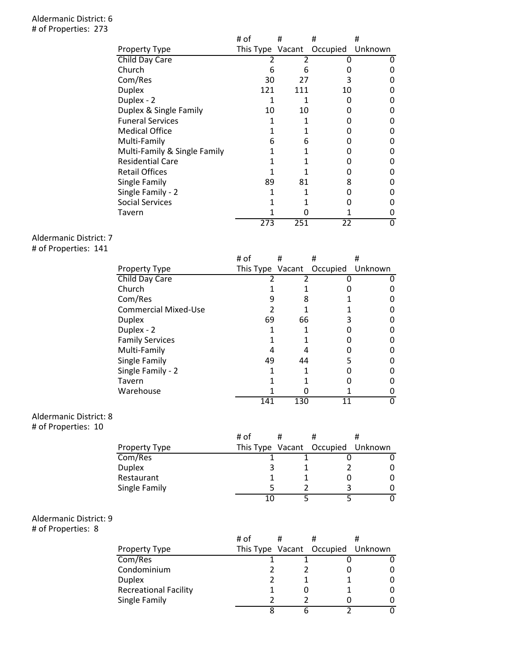#### Aldermanic District: 6 # of Properties: 273

|                              | # of | #   | #                         | #       |
|------------------------------|------|-----|---------------------------|---------|
| <b>Property Type</b>         |      |     | This Type Vacant Occupied | Unknown |
| Child Day Care               |      |     |                           |         |
| Church                       | 6    | 6   | O                         |         |
| Com/Res                      | 30   | 27  | 3                         | n       |
| <b>Duplex</b>                | 121  | 111 | 10                        | ŋ       |
| Duplex - 2                   |      |     | n                         | ŋ       |
| Duplex & Single Family       | 10   | 10  | O                         | ŋ       |
| <b>Funeral Services</b>      | 1    |     |                           | ŋ       |
| <b>Medical Office</b>        | 1    |     |                           | ŋ       |
| Multi-Family                 | 6    | 6   |                           | ŋ       |
| Multi-Family & Single Family | 1    |     |                           | ŋ       |
| <b>Residential Care</b>      |      |     |                           | O       |
| <b>Retail Offices</b>        |      |     |                           | O       |
| Single Family                | 89   | 81  | 8                         | ŋ       |
| Single Family - 2            |      |     | O                         | O       |
| <b>Social Services</b>       |      |     |                           | O       |
| Tavern                       |      |     |                           |         |
|                              | 273  | 251 | 22                        | O       |

# Aldermanic District: 7

# of Properties: 141

|                             | # of             | #   | #        | #       |
|-----------------------------|------------------|-----|----------|---------|
| Property Type               | This Type Vacant |     | Occupied | Unknown |
| Child Day Care              |                  |     |          |         |
| Church                      |                  |     |          |         |
| Com/Res                     | 9                | 8   |          |         |
| <b>Commercial Mixed-Use</b> | 2                |     |          |         |
| <b>Duplex</b>               | 69               | 66  | ੨        |         |
| Duplex - 2                  |                  |     |          |         |
| <b>Family Services</b>      |                  |     |          |         |
| Multi-Family                |                  |     |          |         |
| Single Family               | 49               | 44  |          |         |
| Single Family - 2           | 1                |     |          |         |
| Tavern                      |                  |     |          |         |
| Warehouse                   |                  |     |          |         |
|                             | 141              | 130 | 11       | 0       |

### Aldermanic District: 8

# of Properties: 10

|               | # of | # |                                   |   |
|---------------|------|---|-----------------------------------|---|
| Property Type |      |   | This Type Vacant Occupied Unknown |   |
| Com/Res       |      |   |                                   |   |
| Duplex        |      |   |                                   |   |
| Restaurant    |      |   |                                   | 0 |
| Single Family |      |   |                                   |   |
|               | 10   |   |                                   |   |
|               |      |   |                                   |   |

# Aldermanic District: 9

# of Properties: 8

|                              | # of | # |                                   |  |
|------------------------------|------|---|-----------------------------------|--|
| Property Type                |      |   | This Type Vacant Occupied Unknown |  |
| Com/Res                      |      |   |                                   |  |
| Condominium                  |      |   |                                   |  |
| <b>Duplex</b>                |      |   |                                   |  |
| <b>Recreational Facility</b> |      |   |                                   |  |
| Single Family                |      |   |                                   |  |
|                              |      |   |                                   |  |
|                              |      |   |                                   |  |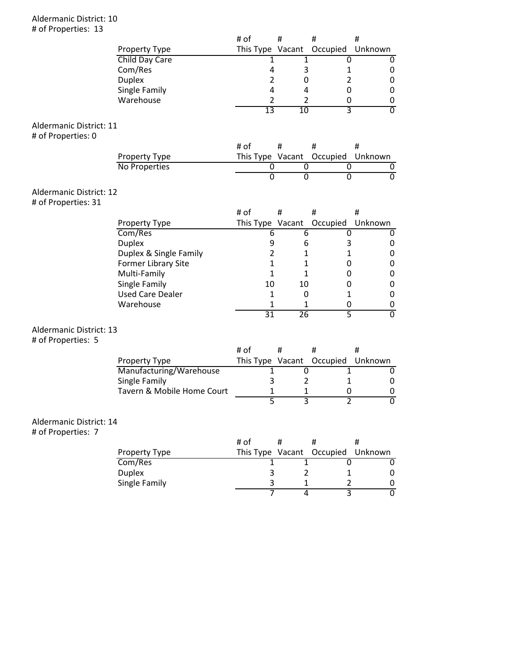#### Aldermanic District: 10 # of Properties: 13

|                                |                                          | # of |                | #                                  | #                        | #                           |
|--------------------------------|------------------------------------------|------|----------------|------------------------------------|--------------------------|-----------------------------|
|                                | Property Type                            |      |                | This Type Vacant                   | Occupied                 | Unknown                     |
|                                | Child Day Care                           |      | 1              | 1                                  | 0                        | 0                           |
|                                | Com/Res                                  |      | 4              | 3                                  | 1                        | 0                           |
|                                | <b>Duplex</b>                            |      | $\overline{2}$ | 0                                  | $\overline{2}$           | 0                           |
|                                | Single Family                            |      | 4              | 4                                  | 0                        | $\pmb{0}$                   |
|                                | Warehouse                                |      | $\overline{2}$ | $\overline{2}$                     | 0                        | $\pmb{0}$                   |
|                                |                                          |      | 13             | 10                                 | 3                        | $\overline{0}$              |
| Aldermanic District: 11        |                                          |      |                |                                    |                          |                             |
| # of Properties: 0             |                                          |      |                |                                    |                          |                             |
|                                |                                          | # of |                | #                                  | #                        | #                           |
|                                |                                          |      |                | This Type Vacant                   | Occupied                 | Unknown                     |
|                                | Property Type<br>No Properties           |      | 0              | 0                                  | 0                        | 0                           |
|                                |                                          |      | $\overline{0}$ | $\overline{0}$                     | $\overline{0}$           | $\overline{0}$              |
|                                |                                          |      |                |                                    |                          |                             |
| <b>Aldermanic District: 12</b> |                                          |      |                |                                    |                          |                             |
| # of Properties: 31            |                                          |      |                |                                    |                          |                             |
|                                |                                          | # of |                | #                                  | Ħ                        | #                           |
|                                | Property Type                            |      |                | This Type Vacant                   | Occupied                 | Unknown                     |
|                                | Com/Res                                  |      | 6              | 6                                  | 0                        | 0                           |
|                                | <b>Duplex</b>                            |      | 9              | 6                                  | 3                        | 0                           |
|                                | Duplex & Single Family                   |      | $\overline{2}$ | 1                                  | 1                        | 0                           |
|                                | Former Library Site                      |      | 1              | 1                                  | 0                        | $\pmb{0}$                   |
|                                | Multi-Family                             |      | 1              | 1                                  | 0                        | $\pmb{0}$                   |
|                                | Single Family                            |      | 10             | 10                                 | 0                        | $\pmb{0}$                   |
|                                | <b>Used Care Dealer</b>                  |      | 1              | 0                                  | 1                        | 0                           |
|                                | Warehouse                                |      | 1              | 1                                  | 0                        | 0                           |
|                                |                                          |      | 31             | 26                                 | 5                        | $\overline{0}$              |
|                                |                                          |      |                |                                    |                          |                             |
| <b>Aldermanic District: 13</b> |                                          |      |                |                                    |                          |                             |
| # of Properties: 5             |                                          | # of |                | #                                  |                          |                             |
|                                |                                          |      |                |                                    | #                        | #                           |
|                                | Property Type                            |      |                | This Type Vacant                   | Occupied<br>$\mathbf{1}$ | Unknown                     |
|                                | Manufacturing/Warehouse<br>Single Family |      | 1<br>3         | 0<br>$\overline{2}$                | $\mathbf{1}$             | 0<br>0                      |
|                                | Tavern & Mobile Home Court               |      | $\mathbf{1}$   |                                    |                          |                             |
|                                |                                          |      | 5              | 1<br>3                             | 0<br>$\overline{2}$      | $\pmb{0}$<br>$\overline{0}$ |
|                                |                                          |      |                |                                    |                          |                             |
| Aldermanic District: 14        |                                          |      |                |                                    |                          |                             |
|                                |                                          |      |                |                                    |                          |                             |
| # of Properties: 7             |                                          | # of |                | #                                  | #                        | #                           |
|                                |                                          |      |                |                                    |                          |                             |
|                                | Property Type<br>Com/Res                 |      |                | This Type Vacant<br>$\overline{1}$ | Occupied                 | Unknown                     |
|                                |                                          |      | 1<br>3         | $\overline{2}$                     | 0<br>1                   | 0                           |
|                                | <b>Duplex</b><br>Single Family           |      | 3              | $\mathbf{1}$                       | $\overline{2}$           | 0                           |
|                                |                                          |      | 7              | $\overline{4}$                     | $\overline{3}$           | $\pmb{0}$<br>$\overline{0}$ |
|                                |                                          |      |                |                                    |                          |                             |